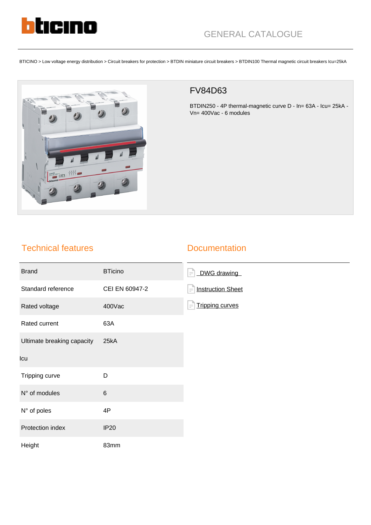

BTICINO > Low voltage energy distribution > Circuit breakers for protection > BTDIN miniature circuit breakers > BTDIN100 Thermal magnetic circuit breakers Icu=25kA



## FV84D63

BTDIN250 - 4P thermal-magnetic curve D - In= 63A - Icu= 25kA - Vn= 400Vac - 6 modules

## Technical features

## **Documentation**

| <b>Brand</b>               | <b>BTicino</b> | DWG drawing<br>$=$ $\overline{ }$    |
|----------------------------|----------------|--------------------------------------|
| Standard reference         | CEI EN 60947-2 | <b>Instruction Sheet</b><br>$\equiv$ |
| Rated voltage              | 400Vac         | <b>Tripping curves</b><br>$\equiv$   |
| Rated current              | 63A            |                                      |
| Ultimate breaking capacity | 25kA           |                                      |
| Icu                        |                |                                      |
| Tripping curve             | D              |                                      |
| N° of modules              | $\,6$          |                                      |
| N° of poles                | 4P             |                                      |
| Protection index           | <b>IP20</b>    |                                      |
| Height                     | 83mm           |                                      |